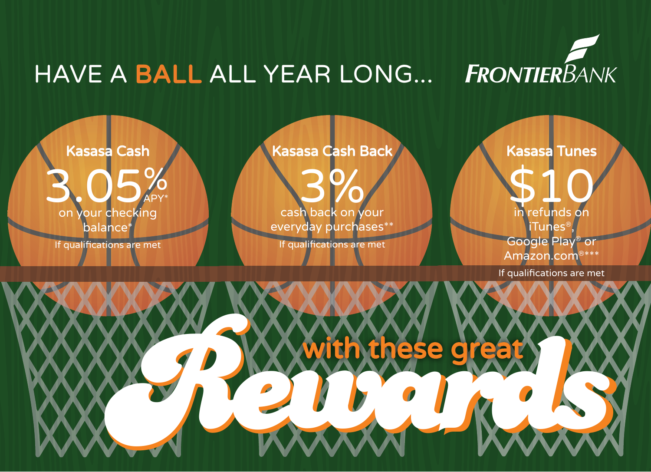## HAVE A BALL ALL YEAR LONG...



3.05% on your checking APY\* balance\* Kasasa Cash

If qualifications are met

 $3\%$ everyday purchases\* If qualifications are met Kasasa Cash Back

\$10 iTunes Google Play® or Amazon.com Kasasa Tunes

If qualifications are met